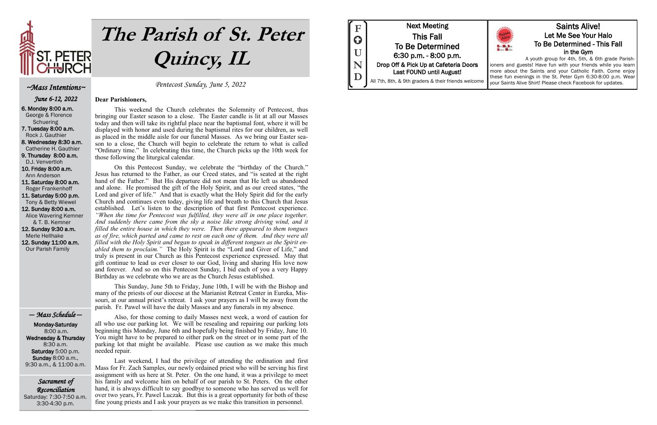

# **The Parish of St. Peter Quincy, IL**

Sacrament of Reconciliation Saturday: 7:30-7:50 a.m. 3:30-4:30 p.m.

Pentecost Sunday, June 5, 2022

### **Dear Parishioners,**

This weekend the Church celebrates the Solemnity of Pentecost, thus bringing our Easter season to a close. The Easter candle is lit at all our Masses today and then will take its rightful place near the baptismal font, where it will be displayed with honor and used during the baptismal rites for our children, as well as placed in the middle aisle for our funeral Masses. As we bring our Easter season to a close, the Church will begin to celebrate the return to what is called "Ordinary time." In celebrating this time, the Church picks up the 10th week for those following the liturgical calendar.

On this Pentecost Sunday, we celebrate the "birthday of the Church." Jesus has returned to the Father, as our Creed states, and "is seated at the right hand of the Father." But His departure did not mean that He left us abandoned and alone. He promised the gift of the Holy Spirit, and as our creed states, "the Lord and giver of life." And that is exactly what the Holy Spirit did for the early Church and continues even today, giving life and breath to this Church that Jesus established. Let's listen to the description of that first Pentecost experience. *"When the time for Pentecost was fulfilled, they were all in one place together. And suddenly there came from the sky a noise like strong driving wind, and it filled the entire house in which they were. Then there appeared to them tongues as of fire, which parted and came to rest on each one of them. And they were all filled with the Holy Spirit and began to speak in different tongues as the Spirit enabled them to proclaim.*" The Holy Spirit is the "Lord and Giver of Life," and truly is present in our Church as this Pentecost experience expressed. May that gift continue to lead us ever closer to our God, living and sharing His love now and forever. And so on this Pentecost Sunday, I bid each of you a very Happy Birthday as we celebrate who we are as the Church Jesus established.

This Sunday, June 5th to Friday, June 10th, I will be with the Bishop and many of the priests of our diocese at the Marianist Retreat Center in Eureka, Missouri, at our annual priest's retreat. I ask your prayers as I will be away from the parish. Fr. Pawel will have the daily Masses and any funerals in my absence.

Also, for those coming to daily Masses next week, a word of caution for all who use our parking lot. We will be resealing and repairing our parking lots beginning this Monday, June 6th and hopefully being finished by Friday, June 10. You might have to be prepared to either park on the street or in some part of the parking lot that might be available. Please use caution as we make this much needed repair.

Last weekend, I had the privilege of attending the ordination and first Mass for Fr. Zach Samples, our newly ordained priest who will be serving his first assignment with us here at St. Peter. On the one hand, it was a privilege to meet his family and welcome him on behalf of our parish to St. Peters. On the other hand, it is always difficult to say goodbye to someone who has served us well for over two years, Fr. Pawel Luczak. But this is a great opportunity for both of these fine young priests and I ask your prayers as we make this transition in personnel.



## ~Mass Intentions~

June 6-12, 2022

6. Monday 8:00 a.m. George & Florence **Schuering** 7. Tuesday 8:00 a.m. Rock J. Gauthier 8. Wednesday 8:30 a.m. Catherine H. Gauthier 9. Thursday 8:00 a.m. D.J. Venvertloh 10. Friday 8:00 a.m. Ann Anderson 11. Saturday 8:00 a.m. Roger Frankenhoff 11. Saturday 5:00 p.m. Tony & Betty Wiewel 12. Sunday 8:00 a.m. Alice Wavering Kemner & T. B. Kemner 12. Sunday 9:30 a.m. Merle Hellhake 12. Sunday 11:00 a.m.

Our Parish Family

## — Mass Schedule —

 Monday-Saturday 8:00 a.m. Wednesday & Thursday 8:30 a.m. Saturday 5:00 p.m. Sunday 8:00 a.m., 9:30 a.m., & 11:00 a.m.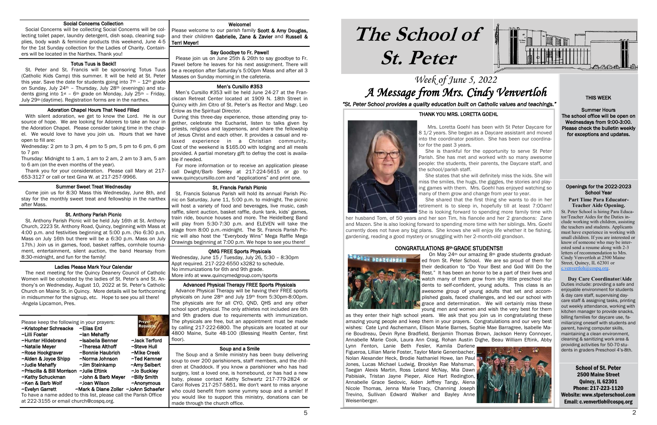## Week of June 5, 2022 A Message from Mrs. Cindy Venvertloh

# **The School of St. Peter**

School of St. Peter 2500 Maine Street Quincy, IL 62301 Phone: 217-223-1120 Website: www.stpeterschool.com Email: c.venvertloh@cospq.org

St. Peter School is hiring Para Educator/Teacher Aides for the Duties include working with children, assisting the teachers and students. Applicants must have experience in working with small children. If you are interested or know of someone who may be interested send a resume along with 2-3 letters of recommendation to Mrs. Cindy Venvertloh at 2500 Maine Street, Quincy, IL 62301 or c.venvertloh $@$ cospa.org.





*"St. Peter School provides a quality education built on Catholic values and teachings."*

### Openings for the 2022-2023 School Year

### **Part Time Para Educator-Teacher Aide Opening.**

Please welcome to our parish family Scott & Amy Douglas, and their children Gabrielle, Zane & Zavier and Russell & Terri Meyer!

### ֡֡֡֡֡֡ Say Goodbye to Fr. Pawel!

### i Men's Cursillo #353

 **Day Care Coordinator/Aide** Duties include: providing a safe and enjoyable environment for students & day care staff, supervising daycare staff & assigning tasks, printing out weekly attendance, working with kitchen manager to provide snacks, billing families for daycare use, familiarizing oneself with students and parent, having computer skills, maintaining a clean environment, cleaning & sanitizing work area & providing activities for 50-70 students in graders Preschool 4's-8th.

### j St. Francis Parish Picnic

### Welcome!

 Please join us on June 25th & 26th to say goodbye to Fr. Pawel before he leaves for his next assignment. There will be a reception after Saturday's 5:00pm Mass and after all 3 Masses on Sunday morning in the cafeteria.

 Men's Cursillo #353 will be held June 24-27 at the Franciscan Retreat Center located at 1909 N. 18th Street in Quincy with Jim Citro of St. Peter's as Rector and Msgr. Leo Enlow as the Spiritual Director.

 During this three-day experience, those attending pray together, celebrate the Eucharist, listen to talks given by priests, religious and laypersons, and share the fellowship of Jesus Christ and each other. It provides a casual and relaxed experience in a Christian community. Cost of the weekend is \$165.00 with lodging and all meals provided. A partial monetary gift to defray the cost is available if needed.

### i Totus Tuus is Back!!

 For more information or to receive an application please call Dwight/Barb Seeley at 217-224-5615 or go to www.quincycursillo.com and "applications" and print one.

 St. Francis Solanus Parish will hold its annual Parish Picnic on Saturday, June 11, 5:00 p.m. to midnight. The picnic will host a variety of food and beverages, live music, cash raffle, silent auction, basket raffle, dunk tank, kids' games, train ride, bounce houses and more. The Heidelberg Band will play from 5:30-7:30 p.m. and ELEVEN will take the stage from 8:00 p.m.-midnight. The St. Francis Parish Picnic will also host the "Everybody Wins" Mega Raffle Mega Drawings beginning at 7:00 p.m. We hope to see you there!

### QMG FREE Sports Physicals

Wednesday, June 15 / Tuesday, July 26, 5:30 – 8:30pm Appt required. 217-222-6550 x3282 to schedule. No immunizations for 6th and 9th grade. More info at www.quincymedgroup.com/sports

### Advanced Physical Therapy FREE Sports Physicals

 Advance Physical Therapy will be having their FREE sports physicals on June 28th and July 19th from 5:30pm-8:00pm. The physicals are for all CYO, QND, QHS and any other school sport physical. The only athletes not included are 6th and 9th graders due to requirements with immunization. The physicals are free, but an appointment must be made by calling 217-222-6800. The physicals are located at our 4800 Maine, Suite 48-100 (Blessing Health Center, first floor).

### Soup and a Smile

 The Soup and a Smile ministry has been busy delivering soup to over 200 parishioners, staff members, and the children at Chaddock. If you know a parishioner who has had surgery, lost a loved one, is homebound, or has had a new baby, please contact Kathy Schwartz 217-779-2824 or Carol Rolves 217-257-5851. We don't want to miss anyone who could benefit from some vummy soup and a smile! If you would like to support this ministry, donations can be made through the church office.

### Social Concerns Collection

 Social Concerns will be collecting Social Concerns will be collecting toilet paper, laundry detergent, dish soap, cleaning supplies, body wash & feminine products this weekend, June 4-5 for the 1st Sunday collection for the Ladies of Charity. Containers will be located in the Narthex. Thank you!

 St. Peter and St. Francis will be sponsoring Totus Tuus (Catholic Kids Camp) this summer. It will be held at St. Peter this year. Save the date for students going into  $7<sup>th</sup>$  –  $12<sup>th</sup>$  grade on Sunday, July 24<sup>th</sup> - Thursday, July 28<sup>th</sup> (evenings) and students going into  $1^{st}$  – 6<sup>th</sup> grade on Monday, July 25<sup>th</sup> – Friday, July 29th (daytime). Registration forms are in the narthex.

### Adoration Chapel Hours That Need Filled

i

 With silent adoration, we get to know the Lord. He is our source of hope. We are looking for Adorers to take an hour in the Adoration Chapel. Please consider taking time in the chapel. We would love to have you join us. Hours that we have open to fill are:

Wednesday: 2 pm to 3 pm, 4 pm to 5 pm, 5 pm to 6 pm, 6 pm to 7 pm

Thursday: Midnight to 1 am, 1 am to 2 am, 2 am to 3 am, 5 am to 6 am (on the even months of the year).

 Thank you for your consideration. Please call Mary at 217- 653-3127 or call or text Gina W. at 217-257-9966.

### Summer Sweet Treat Wednesday

 Come join us for 8:30 Mass this Wednesday, June 8th, and stay for the monthly sweet treat and fellowship in the narthex after Mass.

### St. Anthony Parish Picnic

 St. Anthony Parish Picnic will be held July 16th at St. Anthony Church, 2223 St. Anthony Road, Quincy, beginning with Mass at 4:00 p.m. and festivities beginning at 5:00 p.m. (No 6:30 p.m. Mass on July 16th but there will be a 6:30 p.m. Mass on July 17th.) Join us in games, food, basket raffles, cornhole tournament, entertainment, silent auction, the band Hearsay from 8:30-midnight, and fun for the family!

### Ladies Please Mark Your Calendar

 The next meeting for the Quincy Deanery Council of Catholic Women will be cohosted by the ladies of St. Peter's and St. Anthony's on Wednesday, August 10, 2022 at St. Peter's Catholic Church on Maine St. in Quincy. More details will be forthcoming in midsummer for the signup, etc. Hope to see you all there! -Angela Lipcamon, Pres.

Please keep the following in your prayers: ~Kristopher Schreacke ~Elias Erd ~Lilli Foster ~lan Mehaffy<br>~Hunter Hildebrand ~Isabella Benner ~Hunter Hildebrand ~Isabella Benner ~Jack Terford ~Natalie Meyer ~Theresa Althoff ~Steve Hull  $\sim$ Rose Hockgraver  $\sim$ Bonnie Haubrich ~Alden & Joyce Shipp ~Norma Johnson ~Ted Kemner ~Judie Mehaffy ~Jim Steinkamp ~Amy Seibert ~Priscilla & Bill Morrison ~Julie Eftink ~Jo Buckley ~Kathy Schuckman ~John & Barb Meyer ~Billy Smith ~Ken & Barb Wolf ~Joan Wilson ~Anonymous ~Evelyn Garrett ~Mark & Diane Zoller ~JoAnn Schaefer To have a name added to this list, please call the Parish Office

at 222-3155 or email church@cospq.org.

### THIS WEEK

Summer Hours The school office will be open on Wednesdays from 9:00-3:00. Please check the bulletin weekly for exceptions and updates.

### THANK YOU MRS. LORETTA GOEHL



 Mrs. Loretta Goehl has been with St Peter Daycare for 8 1/2 years. She began as a Daycare assistant and moved into the coordinator position. She has been our coordinator for the past 3 years.

 She is thankful for the opportunity to serve St Peter Parish. She has met and worked with so many awesome people: the students, their parents, the Daycare staff, and the school/parish staff.

 She states that she will definitely miss the kids. She will miss the smiles, the hugs, the giggles, the stories and playing games with them. Mrs. Goehl has enjoyed watching so many of them grow and change from year to year.

 She shared that the first thing she wants to do in her retirement is to sleep in, hopefully till at least 7:00am! She is looking forward to spending more family time with

her husband Tom, of 50 years and her son Tim, his fiancée and her 2 grandsons: Zane and Mazen. She is also looking forward to spending more time with her siblings. Mrs. Goehl currently does not have any big plans. She knows she will enjoy life whether it be fishing, gardening, reading a good mystery or snuggling with her 2-month-old grandson.

### CONGRATULATIONS 8th GRADE STUDENTS!!



 On May 24th our amazing 8th grade students graduated from St. Peter School. We are so proud of them for their dedication to "Do Your Best and God Will Do the Rest." It has been an honor to be a part of their lives and watch many of them grow from shy little preschool students to self-confident, young adults. This class is an awesome group of young adults that set and accomplished goals, faced challenges, and led our school with grace and determination. We will certainly miss these young men and women and wish the very best for them as they enter their high school years. We ask that you join us in congratulating these

amazing young people and keep them in your prayers. Congratulations and our very best wishes: Cate Lynd Aschemann, Ellison Marie Barnes, Sophie Mae Barragree, Isabelle Marie Boudreau, Devin Ryne Bradfield, Benjamin Thomas Brown, Jackson Henry Connoyer, Annabelle Marie Cook, Laura Ann Craig, Rohan Austin Dighe, Beau William Eftink, Abby Lynn Fenton, Lanie Beth Fesler, Kamila Darlene, Figueroa, Lillian Marie Foster, Taylor Marie Genenbacher, Nolan Alexander Heck, Brodie Nathaniel Howe, Ian Paul Jones, Lucas Michael Ludwig, Brooklyn Rae Mahsman, Taegan Alexis Martin, Ross Leland McNay, Mia Dawn Pabisiak, Tristan Jayne Pieper, Alice Hart Redington, Annabelle Grace Sedovic, Aiden Jeffrey Tangy, Alena Nicole Thomas, Jenna Marie Tracy, Channing Joseph Trevino, Sullivan Edward Walker and Bayley Anne Weisenberger.